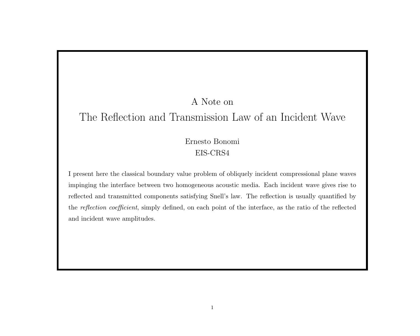## A Note on

# The Reflection and Transmission Law of an Incident Wave

## Ernesto Bonomi EIS-CRS4

I present here the classical boundary value problem of obliquely incident compressional plane waves impinging the interface between two homogeneous acoustic media. Each incident wave gives rise to reflected and transmitted components satisfying Snell's law. The reflection is usually quantified by the reflection coefficient, simply defined, on each point of the interface, as the ratio of the reflected and incident wave amplitudes.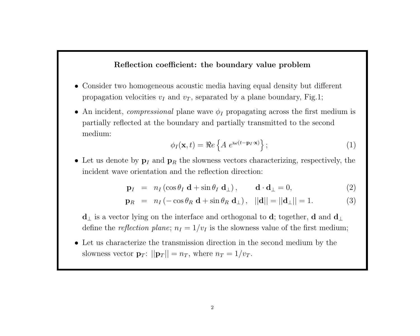### Reflection coefficient: the boundary value problem

- Consider two homogeneous acoustic media having equal density but different propagation velocities  $v_I$  and  $v_T$ , separated by a plane boundary, Fig.1;
- An incident, *compressional* plane wave  $\phi_I$  propagating across the first medium is partially reflected at the boundary and partially transmitted to the second medium:

$$
\phi_I(\mathbf{x},t) = \Re e \left\{ A \ e^{i\omega(t - \mathbf{p}_I \cdot \mathbf{x})} \right\};\tag{1}
$$

• Let us denote by  $\mathbf{p}_I$  and  $\mathbf{p}_R$  the slowness vectors characterizing, respectively, the incident wave orientation and the reflection direction:

$$
\mathbf{p}_I = n_I (\cos \theta_I \, \mathbf{d} + \sin \theta_I \, \mathbf{d}_\perp), \qquad \mathbf{d} \cdot \mathbf{d}_\perp = 0, \tag{2}
$$

$$
\mathbf{p}_R = n_I \left( -\cos \theta_R \, \mathbf{d} + \sin \theta_R \, \mathbf{d}_\perp \right), \quad ||\mathbf{d}|| = ||\mathbf{d}_\perp|| = 1. \tag{3}
$$

 $\mathbf{d}_\perp$  is a vector lying on the interface and orthogonal to  $\mathbf{d}$ ; together,  $\mathbf{d}$  and  $\mathbf{d}_\perp$ define the *reflection plane*;  $n_I = 1/v_I$  is the slowness value of the first medium;

• Let us characterize the transmission direction in the second medium by the slowness vector  $\mathbf{p}_T$ :  $||\mathbf{p}_T|| = n_T$ , where  $n_T = 1/v_T$ .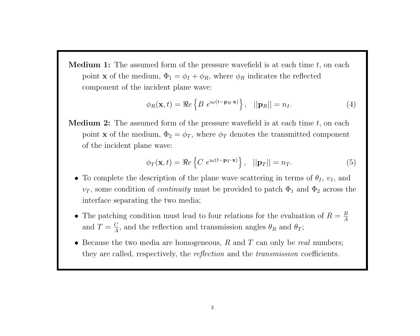**Medium 1:** The assumed form of the pressure wavefield is at each time  $t$ , on each point **x** of the medium,  $\Phi_1 = \phi_I + \phi_R$ , where  $\phi_R$  indicates the reflected component of the incident plane wave:

$$
\phi_R(\mathbf{x},t) = \Re e \left\{ B \ e^{\mathrm{i}\omega(t - \mathbf{p}_R \cdot \mathbf{x})} \right\}, \quad ||\mathbf{p}_R|| = n_I. \tag{4}
$$

**Medium 2:** The assumed form of the pressure wavefield is at each time  $t$ , on each point **x** of the medium,  $\Phi_2 = \phi_T$ , where  $\phi_T$  denotes the transmitted component of the incident plane wave:

$$
\phi_T(\mathbf{x}, t) = \Re e \left\{ C e^{i\omega(t - \mathbf{p}_T \cdot \mathbf{x})} \right\}, \quad ||\mathbf{p}_T|| = n_T. \tag{5}
$$

- To complete the description of the plane wave scattering in terms of  $\theta_I$ ,  $v_I$ , and  $v_T$ , some condition of *continuity* must be provided to patch  $\Phi_1$  and  $\Phi_2$  across the interface separating the two media;
- The patching condition must lead to four relations for the evaluation of  $R = \frac{B}{4}$ A and  $T = \frac{C}{4}$  $\frac{C}{A}$ , and the reflection and transmission angles  $\theta_R$  and  $\theta_T$ ;
- Because the two media are homogeneous,  $R$  and  $T$  can only be *real* numbers; they are called, respectively, the reflection and the transmission coefficients.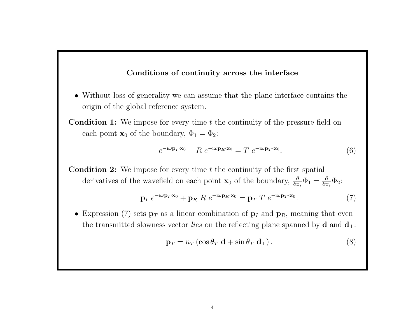### Conditions of continuity across the interface

- Without loss of generality we can assume that the plane interface contains the origin of the global reference system.
- **Condition 1:** We impose for every time t the continuity of the pressure field on each point  $\mathbf{x}_0$  of the boundary,  $\Phi_1 = \Phi_2$ :

$$
e^{-\iota\omega\mathbf{p}_I\cdot\mathbf{x}_0} + R e^{-\iota\omega\mathbf{p}_R\cdot\mathbf{x}_0} = T e^{-\iota\omega\mathbf{p}_T\cdot\mathbf{x}_0}.
$$
\n(6)

**Condition 2:** We impose for every time  $t$  the continuity of the first spatial derivatives of the wavefield on each point  $\mathbf{x}_0$  of the boundary,  $\frac{\partial}{\partial x_i} \Phi_1 = \frac{\partial}{\partial x_i}$  $\frac{\partial}{\partial x_i} \Phi_2$ :

$$
\mathbf{p}_I \ e^{-\iota \omega \mathbf{p}_I \cdot \mathbf{x}_0} + \mathbf{p}_R \ R \ e^{-\iota \omega \mathbf{p}_R \cdot \mathbf{x}_0} = \mathbf{p}_T \ T \ e^{-\iota \omega \mathbf{p}_T \cdot \mathbf{x}_0}.
$$
 (7)

• Expression (7) sets  $\mathbf{p}_T$  as a linear combination of  $\mathbf{p}_I$  and  $\mathbf{p}_R$ , meaning that even the transmitted slowness vector *lies* on the reflecting plane spanned by **d** and  $\mathbf{d}_\perp$ :

$$
\mathbf{p}_T = n_T \left( \cos \theta_T \, \mathbf{d} + \sin \theta_T \, \mathbf{d}_\perp \right). \tag{8}
$$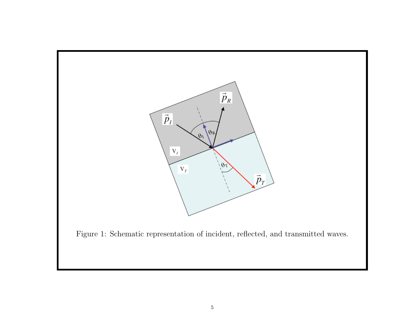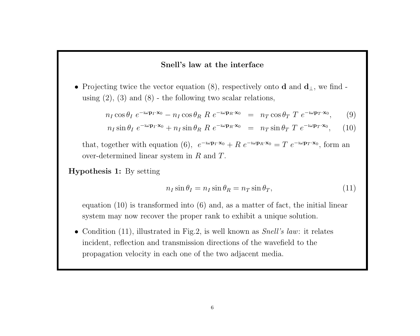#### Snell's law at the interface

• Projecting twice the vector equation (8), respectively onto **d** and  $d_{\perp}$ , we find using  $(2)$ ,  $(3)$  and  $(8)$  - the following two scalar relations,

$$
n_I \cos \theta_I \ e^{-i\omega \mathbf{p}_I \cdot \mathbf{x}_0} - n_I \cos \theta_R \ R \ e^{-i\omega \mathbf{p}_R \cdot \mathbf{x}_0} \ = \ n_T \cos \theta_T \ T \ e^{-i\omega \mathbf{p}_T \cdot \mathbf{x}_0}, \qquad (9)
$$

$$
n_I \sin \theta_I \ e^{-i\omega \mathbf{p}_I \cdot \mathbf{x}_0} + n_I \sin \theta_R \ R \ e^{-i\omega \mathbf{p}_R \cdot \mathbf{x}_0} = n_T \sin \theta_T \ T \ e^{-i\omega \mathbf{p}_T \cdot \mathbf{x}_0}, \quad (10)
$$

that, together with equation (6),  $e^{-i\omega \mathbf{p}_I \cdot \mathbf{x}_0} + R e^{-i\omega \mathbf{p}_R \cdot \mathbf{x}_0} = T e^{-i\omega \mathbf{p}_T \cdot \mathbf{x}_0}$ , form an over-determined linear system in R and T.

Hypothesis 1: By setting

$$
n_I \sin \theta_I = n_I \sin \theta_R = n_T \sin \theta_T,\tag{11}
$$

equation (10) is transformed into (6) and, as a matter of fact, the initial linear system may now recover the proper rank to exhibit a unique solution.

• Condition  $(11)$ , illustrated in Fig.2, is well known as *Snell's law*: it relates incident, reflection and transmission directions of the wavefield to the propagation velocity in each one of the two adjacent media.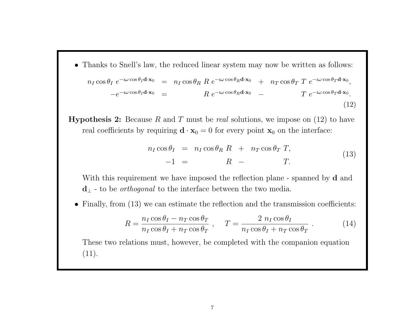- Thanks to Snell's law, the reduced linear system may now be written as follows:  $n_I \cos \theta_I \; e^{-\mathrm{i} \omega \cos \theta_I \mathbf{d} \cdot \mathbf{x}_0} \;\; = \;\; n_I \cos \theta_R \; R \; e^{-\mathrm{i} \omega \cos \theta_R \mathbf{d} \cdot \mathbf{x}_0} \;\; + \;\; \; n_T \cos \theta_T \; T \; e^{-\mathrm{i} \omega \cos \theta_T \mathbf{d} \cdot \mathbf{x}_0},$  $-e^{-i\omega\cos\theta_I\mathbf{d}\cdot\mathbf{x}_0} = R e^{-i\omega\cos\theta_R\mathbf{d}\cdot\mathbf{x}_0} - T e^{-i\omega\cos\theta_T\mathbf{d}\cdot\mathbf{x}_0}.$ (12)
- **Hypothesis 2:** Because R and T must be real solutions, we impose on  $(12)$  to have real coefficients by requiring  $\mathbf{d} \cdot \mathbf{x}_0 = 0$  for every point  $\mathbf{x}_0$  on the interface:

$$
n_I \cos \theta_I = n_I \cos \theta_R R + n_T \cos \theta_T T,
$$
  
-1 = R - T. (13)

With this requirement we have imposed the reflection plane - spanned by **d** and  $\mathbf{d}_{\perp}$  - to be *orthogonal* to the interface between the two media.

• Finally, from (13) we can estimate the reflection and the transmission coefficients:

$$
R = \frac{n_I \cos \theta_I - n_T \cos \theta_T}{n_I \cos \theta_I + n_T \cos \theta_T}, \quad T = \frac{2 n_I \cos \theta_I}{n_I \cos \theta_I + n_T \cos \theta_T}.
$$
 (14)

These two relations must, however, be completed with the companion equation  $(11).$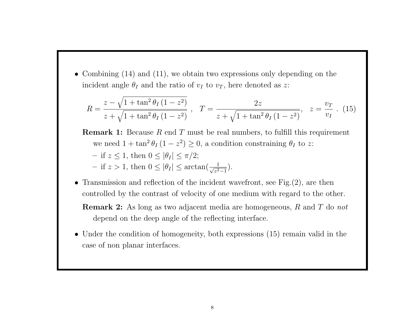• Combining (14) and (11), we obtain two expressions only depending on the incident angle  $\theta_I$  and the ratio of  $v_I$  to  $v_T$ , here denoted as z:

$$
R = \frac{z - \sqrt{1 + \tan^2 \theta_I (1 - z^2)}}{z + \sqrt{1 + \tan^2 \theta_I (1 - z^2)}}, \quad T = \frac{2z}{z + \sqrt{1 + \tan^2 \theta_I (1 - z^2)}}, \quad z = \frac{v_T}{v_I}. \tag{15}
$$

- **Remark 1:** Because R end T must be real numbers, to fulfill this requirement we need  $1 + \tan^2 \theta_I (1 - z^2) \geq 0$ , a condition constraining  $\theta_I$  to z: – if  $z \leq 1$ , then  $0 \leq |\theta_I| \leq \pi/2$ ;  $-$  if  $z > 1$ , then  $0 \leq |\theta_I| \leq \arctan(\frac{1}{\sqrt{z^2}})$  $rac{1}{z^2-1}$ ).
- Transmission and reflection of the incident wavefront, see Fig. (2), are then controlled by the contrast of velocity of one medium with regard to the other.

Remark 2: As long as two adjacent media are homogeneous, R and T do not depend on the deep angle of the reflecting interface.

• Under the condition of homogeneity, both expressions (15) remain valid in the case of non planar interfaces.